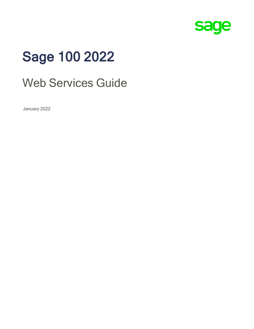

# Sage 100 2022

# Web Services Guide

January 2022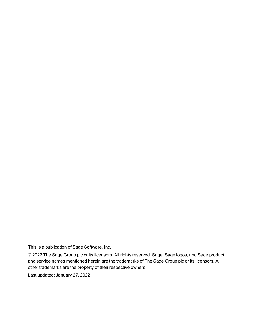This is a publication of Sage Software, Inc.

© 2022 The Sage Group plc or its licensors. All rights reserved. Sage, Sage logos, and Sage product and service names mentioned herein are the trademarks of The Sage Group plc or its licensors. All other trademarks are the property of their respective owners.

Last updated: January 27, 2022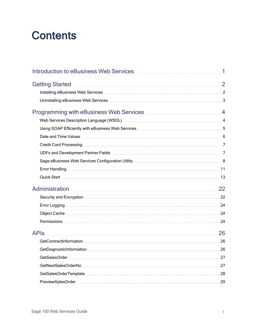# **Contents**

| Getting Started <b>Material Constructs</b> 2                                                                                                                                                                                   |  |
|--------------------------------------------------------------------------------------------------------------------------------------------------------------------------------------------------------------------------------|--|
|                                                                                                                                                                                                                                |  |
|                                                                                                                                                                                                                                |  |
|                                                                                                                                                                                                                                |  |
|                                                                                                                                                                                                                                |  |
|                                                                                                                                                                                                                                |  |
|                                                                                                                                                                                                                                |  |
|                                                                                                                                                                                                                                |  |
|                                                                                                                                                                                                                                |  |
|                                                                                                                                                                                                                                |  |
|                                                                                                                                                                                                                                |  |
|                                                                                                                                                                                                                                |  |
| Administration 22                                                                                                                                                                                                              |  |
| Security and Encryption manufacture and the control of the control of the control of the control of the control of the control of the control of the control of the control of the control of the control of the control of th |  |
|                                                                                                                                                                                                                                |  |
|                                                                                                                                                                                                                                |  |
|                                                                                                                                                                                                                                |  |
|                                                                                                                                                                                                                                |  |
|                                                                                                                                                                                                                                |  |
|                                                                                                                                                                                                                                |  |
|                                                                                                                                                                                                                                |  |
|                                                                                                                                                                                                                                |  |
|                                                                                                                                                                                                                                |  |
|                                                                                                                                                                                                                                |  |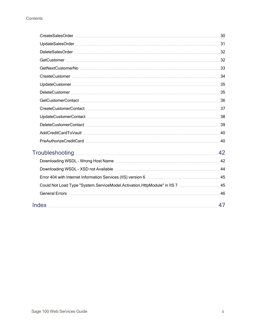| Could Not Load Type "System.ServiceModel.Activation.HttpModule" in IIS 7  45 |    |
|------------------------------------------------------------------------------|----|
|                                                                              |    |
|                                                                              | 47 |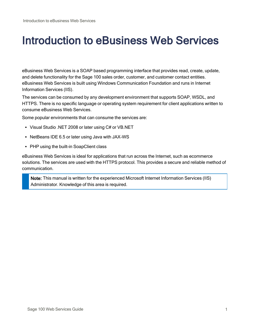# <span id="page-4-0"></span>Introduction to eBusiness Web Services

eBusiness Web Services is a SOAP based programming interface that provides read, create, update, and delete functionality for the Sage 100 sales order, customer, and customer contact entities. eBusiness Web Services is built using Windows Communication Foundation and runs in Internet Information Services (IIS).

The services can be consumed by any development environment that supports SOAP, WSDL, and HTTPS. There is no specific language or operating system requirement for client applications written to consume eBusiness Web Services.

Some popular environments that can consume the services are:

- Visual Studio .NET 2008 or later using C# or VB.NET
- NetBeans IDE 6.5 or later using Java with JAX-WS
- PHP using the built-in SoapClient class

eBusiness Web Services is ideal for applications that run across the Internet, such as ecommerce solutions. The services are used with the HTTPS protocol. This provides a secure and reliable method of communication.

Note: This manual is written for the experienced Microsoft Internet Information Services (IIS) Administrator. Knowledge of this area is required.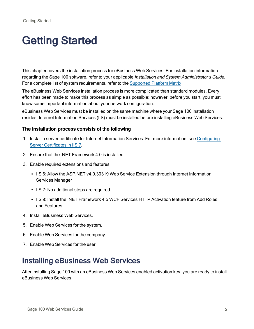# <span id="page-5-0"></span>Getting Started

This chapter covers the installation process for eBusiness Web Services. For installation information regarding the Sage 100 software, refer to your applicable Installation and System Administrator's Guide. For a complete list of system requirements, refer to the [Supported](https://support.na.sage.com/selfservice/viewdocument.do?noCount=true&externalId=47649) Platform Matrix.

The eBusiness Web Services installation process is more complicated than standard modules. Every effort has been made to make this process as simple as possible; however, before you start, you must know some important information about your network configuration.

eBusiness Web Services must be installed on the same machine where your Sage 100 installation resides. Internet Information Services (IIS) must be installed before installing eBusiness Web Services.

#### The installation process consists of the following

- 1. Install a server certificate for Internet Information Services. For more information, see [Configuring](http://technet.microsoft.com/en-us/library/cc732230(WS.10).aspx) Server [Certificates](http://technet.microsoft.com/en-us/library/cc732230(WS.10).aspx) in IIS 7.
- 2. Ensure that the .NET Framework 4.0 is installed.
- 3. Enable required extensions and features.
	- IIS 6: Allow the ASP.NET v4.0.30319 Web Service Extension through Internet Information Services Manager
	- IIS 7: No additional steps are required
	- IIS 8: Install the .NET Framework 4.5 WCF Services HTTP Activation feature from Add Roles and Features
- 4. Install eBusiness Web Services.
- 5. Enable Web Services for the system.
- 6. Enable Web Services for the company.
- <span id="page-5-1"></span>7. Enable Web Services for the user.

### Installing eBusiness Web Services

After installing Sage 100 with an eBusiness Web Services enabled activation key, you are ready to install eBusiness Web Services.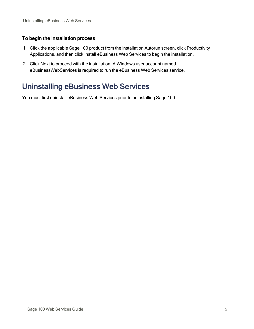### To begin the installation process

- 1. Click the applicable Sage 100 product from the installation Autorun screen, click Productivity Applications, and then click Install eBusiness Web Services to begin the installation.
- <span id="page-6-2"></span>2. Click Next to proceed with the installation. A Windows user account named eBusinessWebServices is required to run the eBusiness Web Services service.

# <span id="page-6-0"></span>Uninstalling eBusiness Web Services

<span id="page-6-1"></span>You must first uninstall eBusiness Web Services prior to uninstalling Sage 100.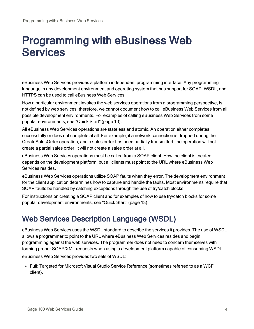# <span id="page-7-0"></span>Programming with eBusiness Web **Services**

eBusiness Web Services provides a platform independent programming interface. Any programming language in any development environment and operating system that has support for SOAP, WSDL, and HTTPS can be used to call eBusiness Web Services.

How a particular environment invokes the web services operations from a programming perspective, is not defined by web services; therefore, we cannot document how to call eBusiness Web Services from all possible development environments. For examples of calling eBusiness Web Services from some popular environments, see ["Quick](#page-16-0) Start" (page 13).

All eBusiness Web Services operations are stateless and atomic. An operation either completes successfully or does not complete at all. For example, if a network connection is dropped during the CreateSalesOrder operation, and a sales order has been partially transmitted, the operation will not create a partial sales order; it will not create a sales order at all.

eBusiness Web Services operations must be called from a SOAP client. How the client is created depends on the development platform, but all clients must point to the URL where eBusiness Web Services resides.

eBusiness Web Services operations utilize SOAP faults when they error. The development environment for the client application determines how to capture and handle the faults. Most environments require that SOAP faults be handled by catching exceptions through the use of try/catch blocks.

For instructions on creating a SOAP client and for examples of how to use try/catch blocks for some popular development environments, see ["Quick](#page-16-0) Start" (page 13).

# <span id="page-7-1"></span>Web Services Description Language (WSDL)

eBusiness Web Services uses the WSDL standard to describe the services it provides. The use of WSDL allows a programmer to point to the URL where eBusiness Web Services resides and begin programming against the web services. The programmer does not need to concern themselves with forming proper SOAP/XML requests when using a development platform capable of consuming WSDL.

<span id="page-7-2"></span>eBusiness Web Services provides two sets of WSDL:

<sup>l</sup> Full: Targeted for Microsoft Visual Studio Service Reference (sometimes referred to as a WCF client).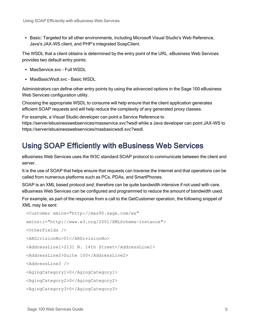• Basic: Targeted for all other environments, including Microsoft Visual Studio's Web Reference, Java's JAX-WS client, and PHP's integrated SoapClient.

<span id="page-8-1"></span>The WSDL that a client obtains is determined by the entry point of the URL. eBusiness Web Services provides two default entry points:

- MasService svc Full WSDL
- MasBasicWsdl.svc Basic WSDL

Administrators can define other entry points by using the advanced options in the Sage 100 eBusiness Web Services configuration utility.

Choosing the appropriate WSDL to consume will help ensure that the client application generates efficient SOAP requests and will help reduce the complexity of any generated proxy classes.

For example, a Visual Studio developer can point a Service Reference to https://server/ebusinesswebservices/masservice.svc?wsdl while a Java developer can point JAX-WS to https://server/ebusinesswebservices/masbasicwsdl.svc?wsdl.

# <span id="page-8-0"></span>Using SOAP Efficiently with eBusiness Web Services

eBusiness Web Services uses the W3C standard SOAP protocol to communicate between the client and server.

It is the use of SOAP that helps ensure that requests can traverse the Internet and that operations can be called from numerous platforms such as PCs, PDAs, and SmartPhones.

<span id="page-8-2"></span>SOAP is an XML based protocol and; therefore can be quite bandwidth intensive if not used with care. eBusiness Web Services can be configured and programmed to reduce the amount of bandwidth used.

For example, as part of the response from a call to the GetCustomer operation, the following snippet of XML may be sent:

```
<Customer xmlns="http://mas90.sage.com/ws"
xmlns:i="http://www.w3.org/2001/XMLSchema-instance">
<OtherFields />
<ARDivisionNo>01</ARDivisionNo>
<AddressLine1>2131 N. 14th Street</AddressLine1>
<AddressLine2>Suite 100</AddressLine2>
<AddressLine3 />
<AgingCategory1>0</AgingCategory1>
<AgingCategory2>0</AgingCategory2>
<AgingCategory3>0</AgingCategory3>
```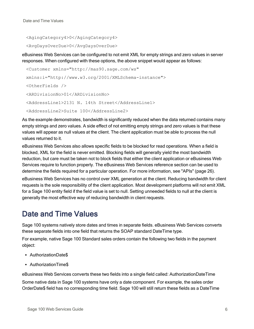Date and Time Values

```
<AgingCategory4>0</AgingCategory4>
```

```
<AvgDaysOverDue>0</AvgDaysOverDue>
```
eBusiness Web Services can be configured to not emit XML for empty strings and zero values in server responses. When configured with these options, the above snippet would appear as follows:

```
<Customer xmlns="http://mas90.sage.com/ws"
xmlns:i="http://www.w3.org/2001/XMLSchema-instance">
<OtherFields />
<ARDivisionNo>01</ARDivisionNo>
<AddressLine1>2131 N. 14th Street</AddressLine1>
<AddressLine2>Suite 100</AddressLine2>
```
As the example demonstrates, bandwidth is significantly reduced when the data returned contains many empty strings and zero values. A side effect of not emitting empty strings and zero values is that these values will appear as null values at the client. The client application must be able to process the null values returned to it.

eBusiness Web Services also allows specific fields to be blocked for read operations. When a field is blocked, XML for the field is never emitted. Blocking fields will generally yield the most bandwidth reduction, but care must be taken not to block fields that either the client application or eBusiness Web Services require to function properly. The eBusiness Web Services reference section can be used to determine the fields required for a particular operation. For more information, see ["APIs"](#page-29-0) (page 26).

eBusiness Web Services has no control over XML generation at the client. Reducing bandwidth for client requests is the sole responsibility of the client application. Most development platforms will not emit XML for a Sage 100 entity field if the field value is set to null. Setting unneeded fields to null at the client is generally the most effective way of reducing bandwidth in client requests.

## <span id="page-9-0"></span>Date and Time Values

Sage 100 systems natively store dates and times in separate fields. eBusiness Web Services converts these separate fields into one field that returns the SOAP standard DateTime type.

For example, native Sage 100 Standard sales orders contain the following two fields in the payment object:

- AuthorizationDate\$
- AuthorizationTime\$

eBusiness Web Services converts these two fields into a single field called: AuthorizationDateTime Some native data in Sage 100 systems have only a date component. For example, the sales order OrderDate\$ field has no corresponding time field. Sage 100 will still return these fields as a DateTime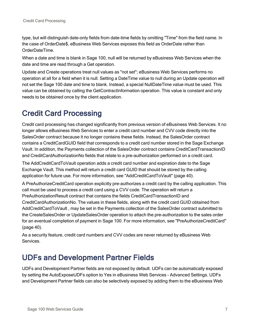type, but will distinguish date-only fields from date-time fields by omitting "Time" from the field name. In the case of OrderDate\$, eBusiness Web Services exposes this field as OrderDate rather than OrderDateTime.

When a date and time is blank in Sage 100, null will be returned by eBusiness Web Services when the date and time are read through a Get operation.

Update and Create operations treat null values as "not set"; eBusiness Web Services performs no operation at all for a field when it is null. Setting a DateTime value to null during an Update operation will not set the Sage 100 date and time to blank. Instead, a special NullDateTime value must be used. This value can be obtained by calling the GetContractInformation operation. This value is constant and only needs to be obtained once by the client application.

## <span id="page-10-0"></span>Credit Card Processing

Credit card processing has changed significantly from previous version of eBusiness Web Services. It no longer allows eBusiness Web Services to enter a credit card number and CVV code directly into the SalesOrder contract because it no longer contains these fields. Instead, the SalesOrder contract contains a CreditCardGUID field that corresponds to a credit card number stored in the Sage Exchange Vault. In addition, the Payments collection of the SalesOrder contract contains CreditCardTransactionID and CreditCardAuthorizationNo fields that relate to a pre-authorization performed on a credit card.

The AddCreditCardToVault operation adds a credit card number and expiration date to the Sage Exchange Vault. This method will return a credit card GUID that should be stored by the calling application for future use. For more information, see ["AddCreditCardToVault"](#page-43-0) (page 40).

A PreAuthorizeCreditCard operation explicitly pre-authorizes a credit card by the calling application. This call must be used to process a credit card using a CVV code. The operation will return a PreAuthorizationResult contract that contains the fields CreditCardTransactionID and CreditCardAuthorizationNo. The values in these fields, along with the credit card GUID obtained from AddCreditCardToVault , may be set in the Payments collection of the SalesOrder contract submitted to the CreateSalesOrder or UpdateSalesOrder operation to attach the pre-authorization to the sales order for an eventual completion of payment in Sage 100. For more information, see ["PreAuthorizeCreditCard"](#page-43-1) [\(page](#page-43-1) 40).

As a security feature, credit card numbers and CVV codes are never returned by eBusiness Web Services.

## <span id="page-10-2"></span><span id="page-10-1"></span>UDFs and Development Partner Fields

UDFs and Development Partner fields are not exposed by default. UDFs can be automatically exposed by setting the AutoExposeUDFs option to Yes in eBusiness Web Services - Advanced Settings. UDFs and Development Partner fields can also be selectively exposed by adding them to the eBusiness Web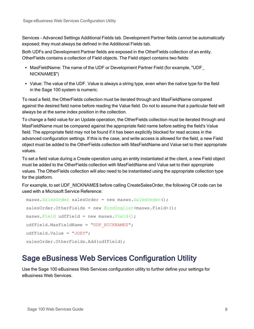Services - Advanced Settings Additional Fields tab. Development Partner fields cannot be automatically exposed; they must always be defined in the Additional Fields tab.

Both UDFs and Development Partner fields are exposed in the OtherFields collection of an entity. OtherFields contains a collection of Field objects. The Field object contains two fields:

- MasFieldName: The name of the UDF or Development Partner Field (for example, "UDF NICKNAME\$")
- Value: The value of the UDF. Value is always a string type, even when the native type for the field in the Sage 100 system is numeric.

To read a field, the OtherFields collection must be iterated through and MasFieldName compared against the desired field name before reading the Value field. Do not to assume that a particular field will always be at the same index position in the collection.

To change a field value for an Update operation, the OtherFields collection must be iterated through and MasFieldName must be compared against the appropriate field name before setting the field's Value field. The appropriate field may not be found if it has been explicitly blocked for read access in the advanced configuration settings. If this is the case, and write access is allowed for the field, a new Field object must be added to the OtherFields collection with MasFieldName and Value set to their appropriate values.

To set a field value during a Create operation using an entity instantiated at the client, a new Field object must be added to the OtherFields collection with MasFieldName and Value set to their appropriate values. The OtherFields collection will also need to be instantiated using the appropriate collection type for the platform.

For example, to set UDF NICKNAME\$ before calling CreateSalesOrder, the following C# code can be used with a Microsoft Service Reference:

```
masws.SalesOrder salesOrder = new masws.SalesOrder();
salesOrder.OtherFields = new BindingList<masws.Field>();
masws. Field udfField = new masws. Field();
udfField.MasFieldName = "UDF NICKNAME$";
udfField.Value = "JOEY";
salesOrder.OtherFields.Add(udfField);
```
### <span id="page-11-0"></span>Sage eBusiness Web Services Configuration Utility

Use the Sage 100 eBusiness Web Services configuration utility to further define your settings for eBusiness Web Services.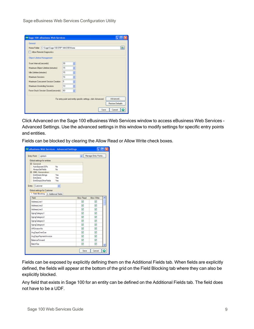Sage eBusiness Web Services Configuration Utility

| an Sage 100 eBusiness Web Services           |    |                                                                                                     |
|----------------------------------------------|----|-----------------------------------------------------------------------------------------------------|
| General                                      |    |                                                                                                     |
| Home Folder C:\Sage\Sage 100 ERP \MASS0\Home |    | e                                                                                                   |
| Allow Remote Diagnostics                     |    |                                                                                                     |
| <b>Object Lifetime Management</b>            |    |                                                                                                     |
| Scan Interval (seconds)                      | 30 |                                                                                                     |
| Maximum Übject Lifetime (minutes)            | 15 |                                                                                                     |
| Idie Lifetine (minutes)                      | 15 |                                                                                                     |
| Maximum Sessions                             | 16 |                                                                                                     |
| Maximum Concurrent Session Dreation          | 5  |                                                                                                     |
| Maximum Unwinding Sessions                   | 10 |                                                                                                     |
| Farce Stuck Session Closed (seconds)         | 60 |                                                                                                     |
|                                              |    | Advanced<br>For entry point and entity specific settings, click Advanced.<br><b>Redore Defaults</b> |
|                                              |    | Cancel<br>Save                                                                                      |

<span id="page-12-0"></span>Click Advanced on the Sage 100 eBusiness Web Services window to access eBusiness Web Services - Advanced Settings. Use the advanced settings in this window to modify settings for specific entry points and entities.

Fields can be blocked by clearing the Allow Read or Allow Write check boxes.

| see eBusiness Web Services - Advanced Settings                                           |          |                   |                     | $\Box$ lolxi |
|------------------------------------------------------------------------------------------|----------|-------------------|---------------------|--------------|
| <b>Entry Point</b><br>colobal>                                                           |          |                   | Manage Entry Points |              |
| Global settings for entities                                                             |          |                   |                     |              |
| <b>El General</b>                                                                        |          |                   |                     |              |
| AutoExposeUDFs                                                                           | No<br>No |                   |                     |              |
| <b>Always Set Fields</b><br>E XML Generation                                             |          |                   |                     |              |
| EntEnptyStings                                                                           | Yes      |                   |                     |              |
| EmitZeros                                                                                | Yes      |                   |                     |              |
| EntEnptyOtherFields                                                                      | Yes      |                   |                     |              |
| Entry Customer<br>Global settings for Customer<br>1. Field Blocking 2. Additional Fields |          |                   |                     |              |
| Field                                                                                    |          | <b>Allow Read</b> | Allow Witter        |              |
| AddressLine1                                                                             |          | ☑                 | v                   |              |
| AddressLine2                                                                             |          | Ø                 | Ø                   |              |
| AddressLine3                                                                             |          | ☑                 | ⊽                   |              |
| AgingCategory1                                                                           |          | ₽                 | ₽                   |              |
| AgingCategory2                                                                           |          | Ø                 | Ø                   |              |
| AgingCategory3                                                                           |          | ⊽                 | ₩                   |              |
| AgingCategory4                                                                           |          | ₽                 | ₽                   |              |
| <b>ARDivisionNo</b>                                                                      |          | v                 | ☑                   |              |
| AvgDaysOverDue                                                                           |          | ⊽                 | ⊽                   |              |
| AvgDaysPaymentInvoice                                                                    |          | ₽                 | ₽                   |              |
| <b>BalanceForward</b>                                                                    |          | V                 | ☑                   |              |
| BatchFax                                                                                 |          | ⊽                 | ⊽                   |              |
|                                                                                          |          | Save              | Cancel              |              |

Fields can be exposed by explicitly defining them on the Additional Fields tab. When fields are explicitly defined, the fields will appear at the bottom of the grid on the Field Blocking tab where they can also be explicitly blocked.

Any field that exists in Sage 100 for an entity can be defined on the Additional Fields tab. The field does not have to be a UDF.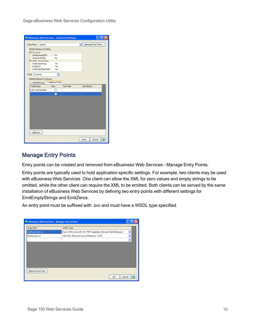Sage eBusiness Web Services Configuration Utility

|                 |                                        |      | RP eBusiness Web Services - Advanced Settings |                     |
|-----------------|----------------------------------------|------|-----------------------------------------------|---------------------|
|                 | Entry Point <global></global>          |      |                                               | Manage Entry Points |
|                 | <b>Global Settings for Entities</b>    |      |                                               |                     |
| El General      |                                        |      |                                               |                     |
|                 | AutoExposeUDFs                         | No   |                                               |                     |
|                 | AlwaysSetFields<br>E XML Generation    | No   |                                               |                     |
|                 | EmilEmptyStrings                       | Yes  |                                               |                     |
| EmilZeros       |                                        | Yes  |                                               |                     |
|                 | EmilEmptyOtherFields                   | Yes  |                                               |                     |
| Entity Customer |                                        | v    |                                               |                     |
|                 |                                        |      |                                               |                     |
|                 | <b>Global Settings for Customer</b>    |      |                                               |                     |
|                 | 1. Field Blocking 2. Additional Fields |      |                                               |                     |
| Field Name      |                                        | Date | Time Field                                    | <b>Bind Belore</b>  |
|                 | UDF_NICKNAME\$                         |      |                                               |                     |
|                 |                                        |      |                                               |                     |
|                 |                                        |      |                                               |                     |
|                 |                                        |      |                                               |                     |
|                 |                                        |      |                                               |                     |
|                 |                                        |      |                                               |                     |
|                 |                                        |      |                                               |                     |
|                 |                                        |      |                                               |                     |
|                 |                                        |      |                                               |                     |
|                 |                                        |      |                                               |                     |
|                 |                                        |      |                                               |                     |
|                 |                                        |      |                                               |                     |
| Benove          |                                        |      |                                               |                     |
|                 |                                        |      |                                               | Cancel<br>Save      |
|                 |                                        |      |                                               |                     |

### <span id="page-13-0"></span>Manage Entry Points

Entry points can be created and removed from eBusiness Web Services - Manage Entry Points.

Entry points are typically used to hold application specific settings. For example, two clients may be used with eBusiness Web Services. One client can allow the XML for zero values and empty strings to be omitted, while the other client can require the XML to be emitted. Both clients can be served by the same installation of eBusiness Web Services by defining two entry points with different settings for EmitEmptyStrings and EmitZeros.

An entry point must be suffixed with .svc and must have a WSDL type specified.

| Entry Point     | WSDL Type                                                         |                      |  |
|-----------------|-------------------------------------------------------------------|----------------------|--|
| MaiBasicWsd.svc | Basic WSDL (Java JAV-WS, PHP ScapClient, Microsoft Web Reference) | ۷                    |  |
| MasService.ovc  | Full WSDL (Microsoft Service Reference - WCF)                     | ¢                    |  |
|                 |                                                                   | $\ddot{\phantom{1}}$ |  |
|                 |                                                                   |                      |  |
|                 |                                                                   |                      |  |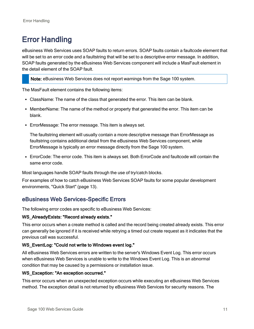# <span id="page-14-0"></span>Error Handling

eBusiness Web Services uses SOAP faults to return errors. SOAP faults contain a faultcode element that will be set to an error code and a faultstring that will be set to a descriptive error message. In addition, SOAP faults generated by the eBusiness Web Services component will include a MasFault element in the detail element of the SOAP fault.

Note: eBusiness Web Services does not report warnings from the Sage 100 system.

The MasFault element contains the following items:

- ClassName: The name of the class that generated the error. This item can be blank.
- MemberName: The name of the method or property that generated the error. This item can be blank.
- ErrorMessage: The error message. This item is always set.

The faultstring element will usually contain a more descriptive message than ErrorMessage as faultstring contains additional detail from the eBusiness Web Services component, while ErrorMessage is typically an error message directly from the Sage 100 system.

<sup>l</sup> ErrorCode: The error code. This item is always set. Both ErrorCode and faultcode will contain the same error code.

Most languages handle SOAP faults through the use of try/catch blocks.

For examples of how to catch eBusiness Web Services SOAP faults for some popular development environments, ["Quick](#page-16-0) Start" (page 13).

### <span id="page-14-1"></span>eBusiness Web Services-Specific Errors

The following error codes are specific to eBusiness Web Services:

#### WS\_AlreadyExists: "Record already exists."

This error occurs when a create method is called and the record being created already exists. This error can generally be ignored if it is received while retrying a timed out create request as it indicates that the previous call was successful.

#### WS\_EventLog: "Could not write to Windows event log."

All eBusiness Web Services errors are written to the server's Windows Event Log. This error occurs when eBusiness Web Services is unable to write to the Windows Event Log. This is an abnormal condition that may be caused by a permissions or installation issue.

#### WS\_Exception: "An exception occurred."

This error occurs when an unexpected exception occurs while executing an eBusiness Web Services method. The exception detail is not returned by eBusiness Web Services for security reasons. The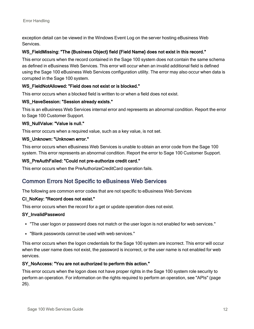exception detail can be viewed in the Windows Event Log on the server hosting eBusiness Web Services.

#### WS\_FieldMissing: "The {Business Object} field {Field Name} does not exist in this record."

This error occurs when the record contained in the Sage 100 system does not contain the same schema as defined in eBusiness Web Services. This error will occur when an invalid additional field is defined using the Sage 100 eBusiness Web Services configuration utility. The error may also occur when data is corrupted in the Sage 100 system.

#### WS FieldNotAllowed: "Field does not exist or is blocked."

This error occurs when a blocked field is written to or when a field does not exist.

#### WS HaveSession: "Session already exists."

This is an eBusiness Web Services internal error and represents an abnormal condition. Report the error to Sage 100 Customer Support.

#### WS\_NullValue: "Value is null."

This error occurs when a required value, such as a key value, is not set.

#### WS\_Unknown: "Unknown error."

This error occurs when eBusiness Web Services is unable to obtain an error code from the Sage 100 system. This error represents an abnormal condition. Report the error to Sage 100 Customer Support.

#### WS\_PreAuthFailed: "Could not pre-authorize credit card."

This error occurs when the PreAuthorizeCreditCard operation fails.

### Common Errors Not Specific to eBusiness Web Services

The following are common error codes that are not specific to eBusiness Web Services

#### CI\_NoKey: "Record does not exist."

This error occurs when the record for a get or update operation does not exist.

#### SY\_InvalidPassword

- "The user logon or password does not match or the user logon is not enabled for web services."
- "Blank passwords cannot be used with web services."

This error occurs when the logon credentials for the Sage 100 system are incorrect. This error will occur when the user name does not exist, the password is incorrect, or the user name is not enabled for web services.

#### SY\_NoAccess: "You are not authorized to perform this action."

This error occurs when the logon does not have proper rights in the Sage 100 system role security to perform an operation. For information on the rights required to perform an operation, see ["APIs"](#page-29-0) (page [26\).](#page-29-0)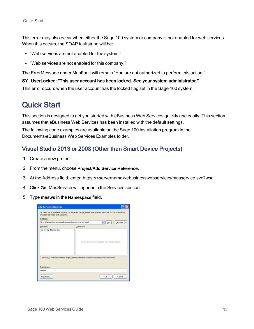This error may also occur when either the Sage 100 system or company is not enabled for web services. When this occurs, the SOAP faultstring will be:

- "Web services are not enabled for the system."
- "Web services are not enabled for this company."

The ErrorMessage under MasFault will remain "You are not authorized to perform this action."

#### SY\_UserLocked: "This user account has been locked. See your system administrator."

<span id="page-16-0"></span>This error occurs when the user account has the locked flag set in the Sage 100 system.

### Quick Start

This section is designed to get you started with eBusiness Web Services quickly and easily. This section assumes that eBusiness Web Services has been installed with the default settings.

The following code examples are available on the Sage 100 installation program in the Documents\eBusiness Web Services Examples folder.

### Visual Studio 2013 or 2008 (Other than Smart Device Projects)

- 1. Create a new project.
- 2. From the menu, choose Project/Add Service Reference.
- 3. At the Address field, enter: https://<servername>/ebusinesswebservices/masservice.svc?wsdl
- 4. Click Go. MasService will appear in the Services section.
- 5. Type masws in the Namespace field.

| <b>Add Service Reference</b>                                                                               |                                                                                                                                   |
|------------------------------------------------------------------------------------------------------------|-----------------------------------------------------------------------------------------------------------------------------------|
| available services, didi. Discover.<br>Address:<br>https://server/ebusinesswebservices/masservice.svc?wsdl | To see a list of available services on a specific server, enter a service URL and dick Go. To browse for<br>$\vee$ 90<br>Discover |
| Services:                                                                                                  | Operations:                                                                                                                       |
| El @ kall MasService                                                                                       | Select a service contract to view its operations.                                                                                 |
|                                                                                                            | 1 service(s) found at address 'https://server/ebusinesswebservices/masservice.svc?wsdf.                                           |
| Namespace:                                                                                                 |                                                                                                                                   |
| masws                                                                                                      |                                                                                                                                   |
| Advanced                                                                                                   | Cancel<br>OK.                                                                                                                     |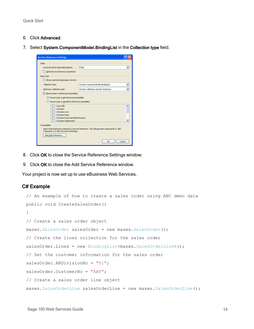#### 6. Click Advanced.

7. Select System.ComponentModel.BindingList in the Collection type field.



- 8. Click OK to close the Service Reference Settings window.
- 9. Click OK to close the Add Service Reference window.

<span id="page-17-0"></span>Your project is now set up to use eBusiness Web Services.

#### C# Example

```
// An example of how to create a sales order using ABC demo data
public void CreateSalesOrder()
{
// Create a sales order object
masws.SalesOrder salesOrder = new masws.SalesOrder();
// Create the lines collection for the sales order
salesOrder.Lines = new BindingList<masws.SalesOrderLine>();
// Set the customer information for the sales order
salesOrder.ARDivisionNo = "01";
salesOrder.CustomerNo = "ABF";
// Create a sales order line object
masws.SalesOrderLine salesOrderLine = new masws.SalesOrderLine();
```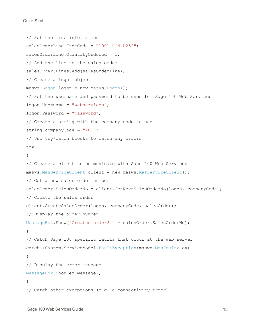```
// Set the line information
salesOrderLine.ItemCode = "1001-HON-H252";
salesOrderLine.QuantityOrdered = 1;
// Add the line to the sales order
salesOrder.Lines.Add(salesOrderLine);
// Create a logon object
masws.Logon logon = new masws.Logon();
// Set the username and password to be used for Sage 100 Web Services
logon.Username = "webservices";
logon.Password = "password";
// Create a string with the company code to use
string companyCode = "ABC";
// Use try/catch blocks to catch any errors
try
{
// Create a client to communicate with Sage 100 Web Services
masws.MasServiceClient client = new masws.MasServiceClient();
// Get a new sales order number
salesOrder.SalesOrderNo = client.GetNextSalesOrderNo(logon, companyCode);
// Create the sales order
client.CreateSalesOrder(logon, companyCode, salesOrder);
// Display the order number
MessageBox.Show("Created order# " + salesOrder.SalesOrderNo);
}
// Catch Sage 100 specific faults that occur at the web server
catch (System.ServiceModel.FaultException<masws.MasFault> ex)
{
// Display the error message
MessageBox.Show(ex.Message);
}
// Catch other exceptions (e.g. a connectivity error)
```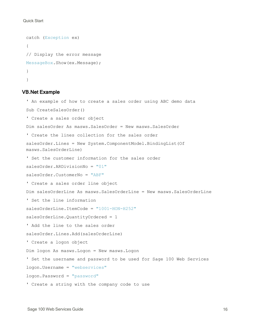```
Quick Start
```

```
catch (Exception ex)
{
// Display the error message
MessageBox.Show(ex.Message);
}
}
```
#### <span id="page-19-0"></span>VB.Net Example

```
' An example of how to create a sales order using ABC demo data
Sub CreateSalesOrder()
' Create a sales order object
Dim salesOrder As masws.SalesOrder = New masws.SalesOrder
' Create the lines collection for the sales order
salesOrder.Lines = New System.ComponentModel.BindingList(Of
masws.SalesOrderLine)
' Set the customer information for the sales order
salesOrder.ARDivisionNo = "01"
salesOrder.CustomerNo = "ABF"
' Create a sales order line object
Dim salesOrderLine As masws.SalesOrderLine = New masws.SalesOrderLine
' Set the line information
salesOrderLine.ItemCode = "1001-HON-H252"
salesOrderLine.QuantityOrdered = 1
' Add the line to the sales order
salesOrder.Lines.Add(salesOrderLine)
' Create a logon object
Dim logon As masws.Logon = New masws.Logon
' Set the username and password to be used for Sage 100 Web Services
logon.Username = "webservices"
logon.Password = "password"
' Create a string with the company code to use
```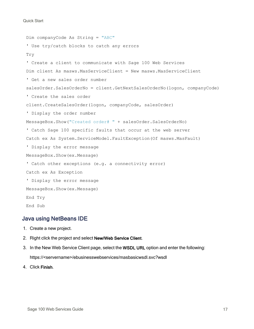```
Quick Start
```

```
Dim companyCode As String = "ABC"
' Use try/catch blocks to catch any errors
Try
' Create a client to communicate with Sage 100 Web Services
Dim client As masws.MasServiceClient = New masws.MasServiceClient
' Get a new sales order number
salesOrder.SalesOrderNo = client.GetNextSalesOrderNo(logon, companyCode)
' Create the sales order
client.CreateSalesOrder(logon, companyCode, salesOrder)
' Display the order number
MessageBox.Show("Created order# " + salesOrder.SalesOrderNo)
' Catch Sage 100 specific faults that occur at the web server
Catch ex As System.ServiceModel.FaultException(Of masws.MasFault)
' Display the error message
MessageBox.Show(ex.Message)
' Catch other exceptions (e.g. a connectivity error)
Catch ex As Exception
' Display the error message
MessageBox.Show(ex.Message)
End Try
End Sub
```
### Java using NetBeans IDE

- 1. Create a new project.
- 2. Right click the project and select New/Web Service Client.
- 3. In the New Web Service Client page, select the WSDL URL option and enter the following: https://<servername>/ebusinesswebservices/masbasicwsdl.svc?wsdl

4. Click Finish.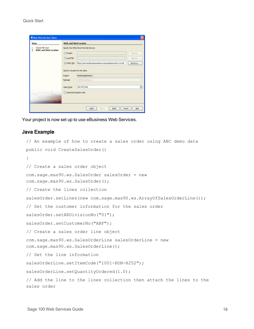| <b>Steps</b>                                                    | <b>WSDL and Client Location</b>                |                                                                        |
|-----------------------------------------------------------------|------------------------------------------------|------------------------------------------------------------------------|
| Choose File Type<br>1.<br><b>WSDL and Client Location</b><br>z. |                                                | Specify the WSDL file of the Web Service.                              |
|                                                                 | O Project:                                     | Brownig                                                                |
|                                                                 | C Local File:                                  | Brownse                                                                |
|                                                                 | O WSDL URL:                                    | https://server/ebusinesswebservices/mesbasicwsd.svc?vesdl<br>Set Proxy |
|                                                                 | Specify a location for the client.<br>Prgject: | DesktopApplication1                                                    |
|                                                                 | Package:                                       | cdefault package>                                                      |
|                                                                 | Client Style:                                  | JAX-WS Style<br>v                                                      |
|                                                                 | Generate Dispatch code                         |                                                                        |

<span id="page-21-0"></span>Your project is now set up to use eBusiness Web Services.

#### Java Example

```
// An example of how to create a sales order using ABC demo data
public void CreateSalesOrder()
{
// Create a sales order object
com.sage.mas90.ws.SalesOrder salesOrder = new
com.sage.mas90.ws.SalesOrder();
// Create the lines collection
salesOrder.setLines(new com.sage.mas90.ws.ArrayOfSalesOrderLine());
// Set the customer information for the sales order
salesOrder.setARDivisionNo("01");
salesOrder.setCustomerNo("ABF");
// Create a sales order line object
com.sage.mas90.ws.SalesOrderLine salesOrderLine = new
com.sage.mas90.ws.SalesOrderLine();
// Set the line information
salesOrderLine.setItemCode("1001-HON-H252");
salesOrderLine.setQuantityOrdered(1.0);
// Add the line to the lines collection then attach the lines to the
sales order
```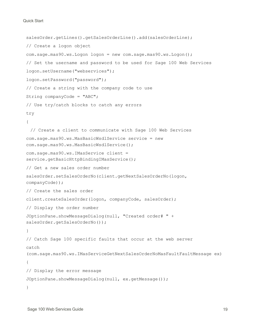```
Quick Start
```

```
salesOrder.getLines().getSalesOrderLine().add(salesOrderLine);
// Create a logon object
com.sage.mas90.ws.Logon logon = new com.sage.mas90.ws.Logon();
// Set the username and password to be used for Sage 100 Web Services
logon.setUsername("webservices");
logon.setPassword("password");
// Create a string with the company code to use
String companyCode = "ABC";
// Use try/catch blocks to catch any errors
try
{
  // Create a client to communicate with Sage 100 Web Services
com.sage.mas90.ws.MasBasicWsdlService service = new
com.sage.mas90.ws.MasBasicWsdlService();
com.sage.mas90.ws.IMasService client =
service.getBasicHttpBindingIMasService();
// Get a new sales order number
salesOrder.setSalesOrderNo(client.getNextSalesOrderNo(logon,
companyCode));
// Create the sales order
client.createSalesOrder(logon, companyCode, salesOrder);
// Display the order number
JOptionPane.showMessageDialog(null, "Created order# " +
salesOrder.getSalesOrderNo());
}
// Catch Sage 100 specific faults that occur at the web server
catch
(com.sage.mas90.ws.IMasServiceGetNextSalesOrderNoMasFaultFaultMessage ex)
{
// Display the error message
JOptionPane.showMessageDialog(null, ex.getMessage());
}
```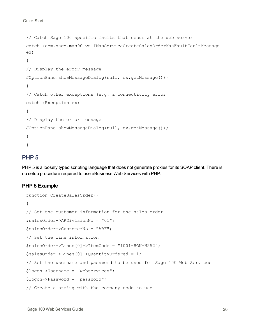```
Quick Start
```

```
// Catch Sage 100 specific faults that occur at the web server
catch (com.sage.mas90.ws.IMasServiceCreateSalesOrderMasFaultFaultMessage
ex)
{
// Display the error message
JOptionPane.showMessageDialog(null, ex.getMessage());
}
// Catch other exceptions (e.g. a connectivity error)
catch (Exception ex)
{
// Display the error message
JOptionPane.showMessageDialog(null, ex.getMessage());
}
}
```
#### PHP 5

PHP 5 is a loosely typed scripting language that does not generate proxies for its SOAP client. There is no setup procedure required to use eBusiness Web Services with PHP.

#### <span id="page-23-0"></span>PHP 5 Example

```
function CreateSalesOrder()
{
// Set the customer information for the sales order
$salesOrder->ARDivisionNo = "01";
$salesOrder->CustomerNo = "ABF";
// Set the line information
$salesOrder->Lines[0]->ItemCode = "1001-HON-H252";
$salesOrder->Lines[0]->QuantityOrdered = 1;
// Set the username and password to be used for Sage 100 Web Services
$logon->Username = "webservices";
$logon->Password = "password";
// Create a string with the company code to use
```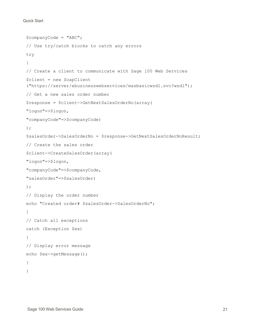```
Quick Start
```

```
$companyCode = "ABC";
// Use try/catch blocks to catch any errors
try
{
// Create a client to communicate with Sage 100 Web Services
$client = new SoapClient
("https://server/ebusinesswebservices/masbasicwsdl.svc?wsdl");
// Get a new sales order number
$response = $client->GetNextSalesOrderNo(array(
"logon"=>$logon,
"companyCode"=>$companyCode)
);
$salesOrder->SalesOrderNo = $response->GetNextSalesOrderNoResult;
// Create the sales order
$client->CreateSalesOrder(array(
"logon"=>$logon,
"companyCode"=>$companyCode,
"salesOrder"=>$salesOrder)
);
// Display the order number
echo "Created order# $salesOrder->SalesOrderNo";
}
// Catch all exceptions
catch (Exception $ex)
{
// Display error message
echo $ex->getMessage();
}
}
```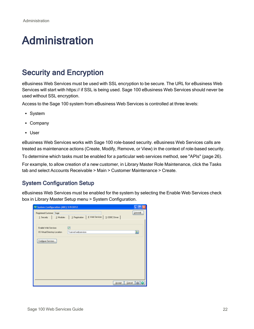# <span id="page-25-0"></span>Administration

## <span id="page-25-1"></span>Security and Encryption

eBusiness Web Services must be used with SSL encryption to be secure. The URL for eBusiness Web Services will start with https:// if SSL is being used. Sage 100 eBusiness Web Services should never be used without SSL encryption.

Access to the Sage 100 system from eBusiness Web Services is controlled at three levels:

- <span id="page-25-2"></span>• System
- Company
- User

eBusiness Web Services works with Sage 100 role-based security. eBusiness Web Services calls are treated as maintenance actions (Create, Modify, Remove, or View) in the context of role-based security.

To determine which tasks must be enabled for a particular web services method, see ["APIs"](#page-29-0) (page 26).

For example, to allow creation of a new customer, in Library Master Role Maintenance, click the Tasks tab and select Accounts Receivable > Main > Customer Maintenance > Create.

### <span id="page-25-3"></span>System Configuration Setup

eBusiness Web Services must be enabled for the system by selecting the Enable Web Services check box in Library Master Setup menu > System Configuration.

| System Configuration (ABC) 5/9/2012                   |                                                    |                     |
|-------------------------------------------------------|----------------------------------------------------|---------------------|
| Registered Customer Sage<br>2 Modules<br>1. Security  | & Web Services<br>5.0DBC Driver<br>3. Registration | Uninstall.          |
| Enable Web Services<br>IIS Virtual Directory Location | ☑<br>Wenverlwebservices                            | 冟                   |
| Configure Services                                    |                                                    |                     |
|                                                       |                                                    |                     |
|                                                       |                                                    |                     |
|                                                       |                                                    |                     |
|                                                       | <b>Accept</b>                                      | Cancel<br><b>SH</b> |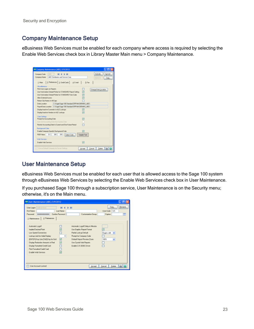### <span id="page-26-0"></span>Company Maintenance Setup

eBusiness Web Services must be enabled for each company where access is required by selecting the Enable Web Services check box in Library Master Main menu > Company Maintenance.



### <span id="page-26-1"></span>User Maintenance Setup

eBusiness Web Services must be enabled for each user that is allowed access to the Sage 100 system through eBusiness Web Services by selecting the Enable Web Services check box in User Maintenance.

If you purchased Sage 100 through a subscription service, User Maintenance is on the Security menu; otherwise, it's on the Main menu.

| <sup>39</sup> User Maintenance (ABC) 5/9/2012                                                                                                                                                                                                                            |                                           |                                                                                                                                                                                                          |                                                                  |
|--------------------------------------------------------------------------------------------------------------------------------------------------------------------------------------------------------------------------------------------------------------------------|-------------------------------------------|----------------------------------------------------------------------------------------------------------------------------------------------------------------------------------------------------------|------------------------------------------------------------------|
| Una Logon valuarvicer.<br>First Name<br>Pazzword<br>**************<br>2 Parlemmont<br>1. Markenance                                                                                                                                                                      | M<br><b>Last Name</b><br>Confine Password | $D$ $D$<br>Customization Group                                                                                                                                                                           | Rename<br>Copy<br>User Code   WS<br><b>STARS</b><br>Expires<br>۰ |
| Report obterrotus)<br>Implied Decimal Point<br>Low Speed Connection<br>Laakup Limit far Initial Display<br>[ENTER]Key Like [TAB]Key for Grid<br>Display Reduction Amounts in Red<br>Display Fornatted Credit Card<br>Print Formatised Coast: Card<br>Enable Web Services | ₽<br>□<br>ű<br>☑<br>☑<br>☑                | Automatic Logolf Delay in Minutes<br>Use Enghic Report Format<br>Partial Lookup Default<br>Prompt for Company Code<br>Dietault Report Preview Zoom<br>Use Crystal Web Reports<br>Ervable C/S ODBC Driver | Ψ<br>Begins with<br>100%                                         |
| User Account Looked                                                                                                                                                                                                                                                      |                                           | <b>Accept</b>                                                                                                                                                                                            | Delete<br><b>Cancel</b><br>äl                                    |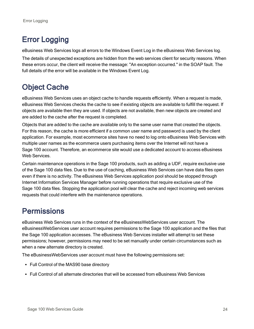# <span id="page-27-0"></span>Error Logging

eBusiness Web Services logs all errors to the Windows Event Log in the eBusiness Web Services log.

The details of unexpected exceptions are hidden from the web services client for security reasons. When these errors occur, the client will receive the message: "An exception occurred." in the SOAP fault. The full details of the error will be available in the Windows Event Log.

# <span id="page-27-1"></span>Object Cache

eBusiness Web Services uses an object cache to handle requests efficiently. When a request is made, eBusiness Web Services checks the cache to see if existing objects are available to fulfill the request. If objects are available then they are used. If objects are not available, then new objects are created and are added to the cache after the request is completed.

Objects that are added to the cache are available only to the same user name that created the objects. For this reason, the cache is more efficient if a common user name and password is used by the client application. For example, most ecommerce sites have no need to log onto eBusiness Web Services with multiple user names as the ecommerce users purchasing items over the Internet will not have a Sage 100 account. Therefore, an ecommerce site would use a dedicated account to access eBusiness Web Services.

Certain maintenance operations in the Sage 100 products, such as adding a UDF, require exclusive use of the Sage 100 data files. Due to the use of caching, eBusiness Web Services can have data files open even if there is no activity. The eBusiness Web Services application pool should be stopped through Internet Information Services Manager before running operations that require exclusive use of the Sage 100 data files. Stopping the application pool will clear the cache and reject incoming web services requests that could interfere with the maintenance operations.

## <span id="page-27-2"></span>**Permissions**

eBusiness Web Services runs in the context of the eBusinessWebServices user account. The eBusinessWebServices user account requires permissions to the Sage 100 application and the files that the Sage 100 application accesses. The eBusiness Web Services installer will attempt to set these permissions; however, permissions may need to be set manually under certain circumstances such as when a new alternate directory is created.

The eBusinessWebServices user account must have the following permissions set:

- Full Control of the MAS90 base directory
- Full Control of all alternate directories that will be accessed from eBusiness Web Services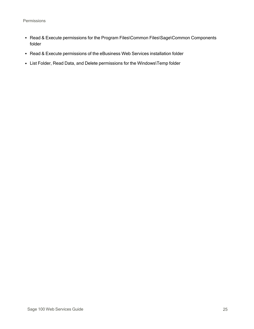- Read & Execute permissions for the Program Files\Common Files\Sage\Common Components folder
- Read & Execute permissions of the eBusiness Web Services installation folder
- List Folder, Read Data, and Delete permissions for the Windows\Temp folder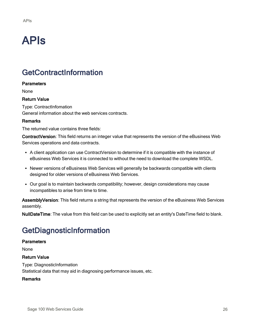# <span id="page-29-0"></span>APIs

## <span id="page-29-1"></span>**GetContractInformation**

#### **Parameters**

None

#### Return Value

Type: ContractInfomation General information about the web services contracts.

#### Remarks

The returned value contains three fields:

ContractVersion: This field returns an integer value that represents the version of the eBusiness Web Services operations and data contracts.

- A client application can use ContractVersion to determine if it is compatible with the instance of eBusiness Web Services it is connected to without the need to download the complete WSDL.
- Newer versions of eBusiness Web Services will generally be backwards compatible with clients designed for older versions of eBusiness Web Services.
- Our goal is to maintain backwards compatibility; however, design considerations may cause incompatibles to arise from time to time.

AssemblyVersion: This field returns a string that represents the version of the eBusiness Web Services assembly.

<span id="page-29-2"></span>NullDateTime: The value from this field can be used to explicitly set an entity's DateTime field to blank.

# GetDiagnosticInformation

#### **Parameters**

None

#### Return Value

Type: DiagnosticInformation Statistical data that may aid in diagnosing performance issues, etc.

#### Remarks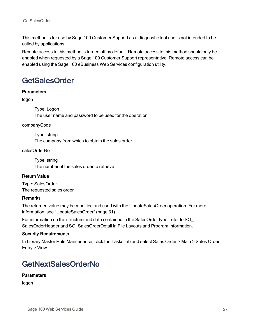This method is for use by Sage 100 Customer Support as a diagnostic tool and is not intended to be called by applications.

Remote access to this method is turned off by default. Remote access to this method should only be enabled when requested by a Sage 100 Customer Support representative. Remote access can be enabled using the Sage 100 eBusiness Web Services configuration utility.

# <span id="page-30-0"></span>GetSalesOrder

#### **Parameters**

#### logon

Type: Logon The user name and password to be used for the operation

#### companyCode

Type: string The company from which to obtain the sales order

#### salesOrderNo

Type: string The number of the sales order to retrieve

#### Return Value

Type: SalesOrder The requested sales order

#### **Remarks**

The returned value may be modified and used with the UpdateSalesOrder operation. For more information, see ["UpdateSalesOrder"](#page-34-0) (page 31).

For information on the structure and data contained in the SalesOrder type, refer to SO\_ SalesOrderHeader and SO\_SalesOrderDetail in File Layouts and Program Information.

#### Security Requirements

In Library Master Role Maintenance, click the Tasks tab and select Sales Order > Main > Sales Order Entry > View.

### <span id="page-30-1"></span>GetNextSalesOrderNo

#### **Parameters**

logon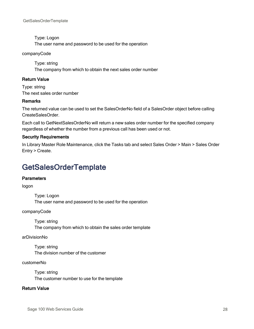Type: Logon The user name and password to be used for the operation

#### companyCode

Type: string The company from which to obtain the next sales order number

#### Return Value

Type: string The next sales order number

#### **Remarks**

The returned value can be used to set the SalesOrderNo field of a SalesOrder object before calling CreateSalesOrder.

Each call to GetNextSalesOrderNo will return a new sales order number for the specified company regardless of whether the number from a previous call has been used or not.

#### Security Requirements

In Library Master Role Maintenance, click the Tasks tab and select Sales Order > Main > Sales Order Entry > Create.

### <span id="page-31-0"></span>GetSalesOrderTemplate

#### **Parameters**

logon

Type: Logon The user name and password to be used for the operation

companyCode

Type: string The company from which to obtain the sales order template

arDivisionNo

Type: string The division number of the customer

customerNo

Type: string The customer number to use for the template

#### Return Value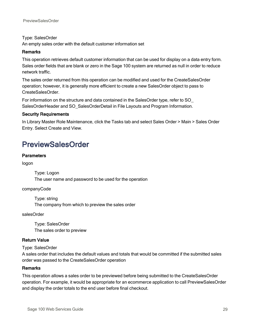Type: SalesOrder An empty sales order with the default customer information set

#### Remarks

This operation retrieves default customer information that can be used for display on a data entry form. Sales order fields that are blank or zero in the Sage 100 system are returned as null in order to reduce network traffic.

The sales order returned from this operation can be modified and used for the CreateSalesOrder operation; however, it is generally more efficient to create a new SalesOrder object to pass to CreateSalesOrder.

For information on the structure and data contained in the SalesOrder type, refer to SO\_ SalesOrderHeader and SO\_SalesOrderDetail in File Layouts and Program Information.

#### Security Requirements

In Library Master Role Maintenance, click the Tasks tab and select Sales Order > Main > Sales Order Entry. Select Create and View.

## <span id="page-32-0"></span>PreviewSalesOrder

#### **Parameters**

logon

Type: Logon The user name and password to be used for the operation

companyCode

Type: string The company from which to preview the sales order

salesOrder

Type: SalesOrder The sales order to preview

#### Return Value

Type: SalesOrder

A sales order that includes the default values and totals that would be committed if the submitted sales order was passed to the CreateSalesOrder operation

#### **Remarks**

This operation allows a sales order to be previewed before being submitted to the CreateSalesOrder operation. For example, it would be appropriate for an ecommerce application to call PreviewSalesOrder and display the order totals to the end user before final checkout.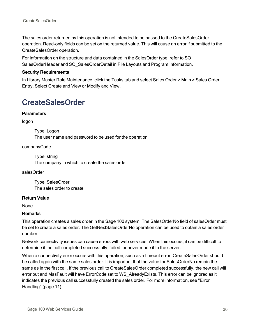The sales order returned by this operation is not intended to be passed to the CreateSalesOrder operation. Read-only fields can be set on the returned value. This will cause an error if submitted to the CreateSalesOrder operation.

For information on the structure and data contained in the SalesOrder type, refer to SO\_ SalesOrderHeader and SO\_SalesOrderDetail in File Layouts and Program Information.

#### Security Requirements

In Library Master Role Maintenance, click the Tasks tab and select Sales Order > Main > Sales Order Entry. Select Create and View or Modify and View.

## <span id="page-33-0"></span>CreateSalesOrder

#### **Parameters**

logon

Type: Logon The user name and password to be used for the operation

companyCode

Type: string The company in which to create the sales order

salesOrder

Type: SalesOrder The sales order to create

#### Return Value

None

#### Remarks

This operation creates a sales order in the Sage 100 system. The SalesOrderNo field of salesOrder must be set to create a sales order. The GetNextSalesOrderNo operation can be used to obtain a sales order number.

Network connectivity issues can cause errors with web services. When this occurs, it can be difficult to determine if the call completed successfully, failed, or never made it to the server.

When a connectivity error occurs with this operation, such as a timeout error, CreateSalesOrder should be called again with the same sales order. It is important that the value for SalesOrderNo remain the same as in the first call. If the previous call to CreateSalesOrder completed successfully, the new call will error out and MasFault will have ErrorCode set to WS\_AlreadyExists. This error can be ignored as it indicates the previous call successfully created the sales order. For more information, see ["Error](#page-14-0) [Handling"](#page-14-0) (page 11).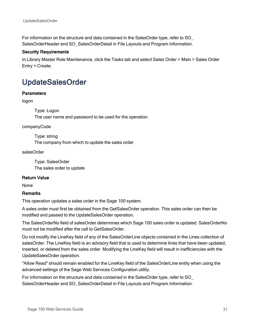For information on the structure and data contained in the SalesOrder type, refer to SO\_ SalesOrderHeader and SO\_SalesOrderDetail in File Layouts and Program Information.

#### Security Requirements

In Library Master Role Maintenance, click the Tasks tab and select Sales Order > Main > Sales Order Entry > Create.

# <span id="page-34-0"></span>UpdateSalesOrder

#### **Parameters**

logon

Type: Logon The user name and password to be used for the operation

companyCode

Type: string The company from which to update the sales order

salesOrder

Type: SalesOrder The sales order to update

#### Return Value

None

#### Remarks

This operation updates a sales order in the Sage 100 system.

A sales order must first be obtained from the GetSalesOrder operation. This sales order can then be modified and passed to the UpdateSalesOrder operation.

The SalesOrderNo field of salesOrder determines which Sage 100 sales order is updated. SalesOrderNo must not be modified after the call to GetSalesOrder.

Do not modify the LineKey field of any of the SalesOrderLine objects contained in the Lines collection of salesOrder. The LineKey field is an advisory field that is used to determine lines that have been updated, inserted, or deleted from the sales order. Modifying the LineKey field will result in inefficiencies with the UpdateSalesOrder operation.

"Allow Read" should remain enabled for the LineKey field of the SalesOrderLine entity when using the advanced settings of the Sage Web Services Configuration utility.

For information on the structure and data contained in the SalesOrder type, refer to SO\_ SalesOrderHeader and SO\_SalesOrderDetail in File Layouts and Program Information.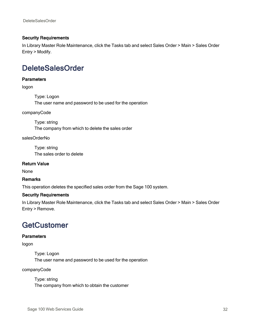#### Security Requirements

In Library Master Role Maintenance, click the Tasks tab and select Sales Order > Main > Sales Order Entry > Modify.

### <span id="page-35-0"></span>DeleteSalesOrder

#### **Parameters**

logon

Type: Logon The user name and password to be used for the operation

#### companyCode

Type: string The company from which to delete the sales order

#### salesOrderNo

Type: string The sales order to delete

#### Return Value

None

#### Remarks

This operation deletes the specified sales order from the Sage 100 system.

#### Security Requirements

In Library Master Role Maintenance, click the Tasks tab and select Sales Order > Main > Sales Order Entry > Remove.

### <span id="page-35-1"></span>**GetCustomer**

#### **Parameters**

logon

Type: Logon The user name and password to be used for the operation

companyCode

Type: string The company from which to obtain the customer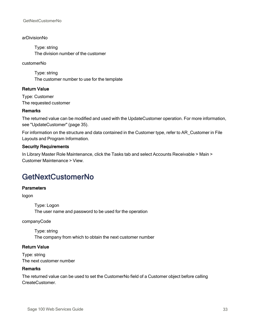#### GetNextCustomerNo

#### arDivisionNo

Type: string The division number of the customer

customerNo

Type: string The customer number to use for the template

#### Return Value

Type: Customer The requested customer

#### **Remarks**

The returned value can be modified and used with the UpdateCustomer operation. For more information, see ["UpdateCustomer"](#page-38-0) (page 35).

For information on the structure and data contained in the Customer type, refer to AR\_Customer in File Layouts and Program Information.

#### Security Requirements

In Library Master Role Maintenance, click the Tasks tab and select Accounts Receivable > Main > Customer Maintenance > View.

## <span id="page-36-0"></span>**GetNextCustomerNo**

#### **Parameters**

logon

Type: Logon The user name and password to be used for the operation

companyCode

Type: string The company from which to obtain the next customer number

#### Return Value

Type: string The next customer number

#### Remarks

The returned value can be used to set the CustomerNo field of a Customer object before calling CreateCustomer.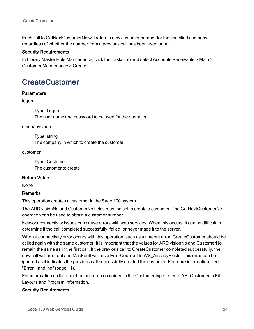Each call to GetNextCustomerNo will return a new customer number for the specified company regardless of whether the number from a previous call has been used or not.

#### Security Requirements

In Library Master Role Maintenance, click the Tasks tab and select Accounts Receivable > Main > Customer Maintenance > Create.

# <span id="page-37-0"></span>**CreateCustomer**

#### **Parameters**

logon

Type: Logon The user name and password to be used for the operation

companyCode

Type: string The company in which to create the customer

customer

Type: Customer The customer to create

#### Return Value

None

#### Remarks

This operation creates a customer in the Sage 100 system.

The ARDivisionNo and CustomerNo fields must be set to create a customer. The GetNextCustomerNo operation can be used to obtain a customer number.

Network connectivity issues can cause errors with web services. When this occurs, it can be difficult to determine if the call completed successfully, failed, or never made it to the server.

When a connectivity error occurs with this operation, such as a timeout error, CreateCustomer should be called again with the same customer. It is important that the values for ARDivisionNo and CustomerNo remain the same as in the first call. If the previous call to CreateCustomer completed successfully, the new call will error out and MasFault will have ErrorCode set to WS\_AlreadyExists. This error can be ignored as it indicates the previous call successfully created the customer. For more information, see "Error [Handling"](#page-14-0) (page 11).

For information on the structure and data contained in the Customer type, refer to AR\_Customer in File Layouts and Program Information.

#### Security Requirements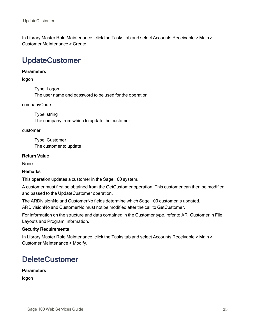In Library Master Role Maintenance, click the Tasks tab and select Accounts Receivable > Main > Customer Maintenance > Create.

# <span id="page-38-0"></span>UpdateCustomer

#### **Parameters**

logon

Type: Logon The user name and password to be used for the operation

companyCode

Type: string The company from which to update the customer

#### customer

Type: Customer The customer to update

#### Return Value

None

#### **Remarks**

This operation updates a customer in the Sage 100 system.

A customer must first be obtained from the GetCustomer operation. This customer can then be modified and passed to the UpdateCustomer operation.

The ARDivisionNo and CustomerNo fields determine which Sage 100 customer is updated. ARDivisionNo and CustomerNo must not be modified after the call to GetCustomer.

For information on the structure and data contained in the Customer type, refer to AR\_Customer in File Layouts and Program Information.

#### Security Requirements

In Library Master Role Maintenance, click the Tasks tab and select Accounts Receivable > Main > Customer Maintenance > Modify.

## <span id="page-38-1"></span>DeleteCustomer

#### **Parameters**

logon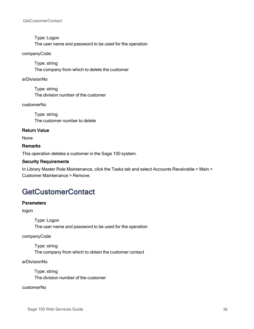Type: Logon The user name and password to be used for the operation

#### companyCode

Type: string The company from which to delete the customer

arDivisionNo

Type: string The division number of the customer

customerNo

Type: string The customer number to delete

#### Return Value

None

#### Remarks

This operation deletes a customer in the Sage 100 system.

#### Security Requirements

In Library Master Role Maintenance, click the Tasks tab and select Accounts Receivable > Main > Customer Maintenance > Remove.

### <span id="page-39-0"></span>**GetCustomerContact**

#### **Parameters**

logon

Type: Logon The user name and password to be used for the operation

companyCode

Type: string The company from which to obtain the customer contact

arDivisionNo

Type: string The division number of the customer

#### customerNo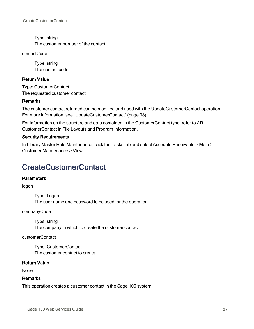Type: string The customer number of the contact

contactCode

Type: string The contact code

#### Return Value

Type: CustomerContact The requested customer contact

#### Remarks

The customer contact returned can be modified and used with the UpdateCustomerContact operation. For more information, see ["UpdateCustomerContact"](#page-41-0) (page 38).

For information on the structure and data contained in the CustomerContact type, refer to AR\_ CustomerContact in File Layouts and Program Information.

#### Security Requirements

In Library Master Role Maintenance, click the Tasks tab and select Accounts Receivable > Main > Customer Maintenance > View.

### <span id="page-40-0"></span>CreateCustomerContact

#### **Parameters**

logon

Type: Logon The user name and password to be used for the operation

companyCode

Type: string The company in which to create the customer contact

#### customerContact

Type: CustomerContact The customer contact to create

#### Return Value

None

#### **Remarks**

This operation creates a customer contact in the Sage 100 system.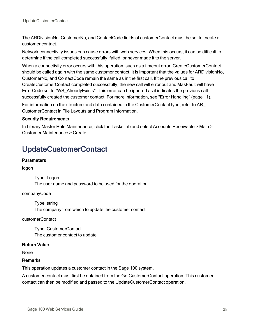The ARDivisionNo, CustomerNo, and ContactCode fields of customerContact must be set to create a customer contact.

Network connectivity issues can cause errors with web services. When this occurs, it can be difficult to determine if the call completed successfully, failed, or never made it to the server.

When a connectivity error occurs with this operation, such as a timeout error, CreateCustomerContact should be called again with the same customer contact. It is important that the values for ARDivisionNo, CustomerNo, and ContactCode remain the same as in the first call. If the previous call to CreateCustomerContact completed successfully, the new call will error out and MasFault will have ErrorCode set to "WS\_AlreadyExists". This error can be ignored as it indicates the previous call successfully created the customer contact. For more information, see "Error [Handling"](#page-14-0) (page 11).

For information on the structure and data contained in the CustomerContact type, refer to AR\_ CustomerContact in File Layouts and Program Information.

#### Security Requirements

In Library Master Role Maintenance, click the Tasks tab and select Accounts Receivable > Main > Customer Maintenance > Create.

# <span id="page-41-0"></span>UpdateCustomerContact

#### **Parameters**

logon

Type: Logon The user name and password to be used for the operation

companyCode

Type: string The company from which to update the customer contact

customerContact

Type: CustomerContact The customer contact to update

#### Return Value

None

#### **Remarks**

This operation updates a customer contact in the Sage 100 system.

A customer contact must first be obtained from the GetCustomerContact operation. This customer contact can then be modified and passed to the UpdateCustomerContact operation.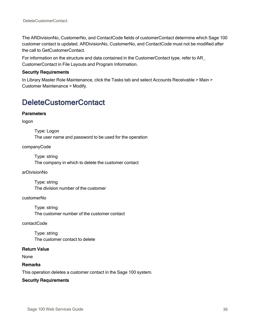The ARDivisionNo, CustomerNo, and ContactCode fields of customerContact determine which Sage 100 customer contact is updated. ARDivisionNo, CustomerNo, and ContactCode must not be modified after the call to GetCustomerContact.

For information on the structure and data contained in the CustomerContact type, refer to AR\_ CustomerContact in File Layouts and Program Information.

#### Security Requirements

In Library Master Role Maintenance, click the Tasks tab and select Accounts Receivable > Main > Customer Maintenance > Modify.

## <span id="page-42-0"></span>DeleteCustomerContact

#### **Parameters**

logon

Type: Logon The user name and password to be used for the operation

#### companyCode

Type: string The company in which to delete the customer contact

#### arDivisionNo

Type: string The division number of the customer

#### customerNo

Type: string The customer number of the customer contact

#### contactCode

Type: string The customer contact to delete

#### Return Value

None

#### **Remarks**

This operation deletes a customer contact in the Sage 100 system.

#### Security Requirements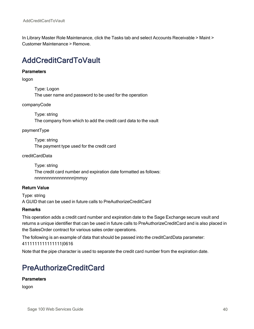In Library Master Role Maintenance, click the Tasks tab and select Accounts Receivable > Maint > Customer Maintenance > Remove.

# <span id="page-43-0"></span>AddCreditCardToVault

#### **Parameters**

logon

Type: Logon The user name and password to be used for the operation

companyCode

Type: string The company from which to add the credit card data to the vault

paymentType

Type: string The payment type used for the credit card

creditCardData

Type: string The credit card number and expiration date formatted as follows: nnnnnnnnnnnnnnnn|mmyy

#### Return Value

Type: string A GUID that can be used in future calls to PreAuthorizeCreditCard

#### Remarks

This operation adds a credit card number and expiration date to the Sage Exchange secure vault and returns a unique identifier that can be used in future calls to PreAuthorizeCreditCard and is also placed in the SalesOrder contract for various sales order operations.

The following is an example of data that should be passed into the creditCardData parameter: 4111111111111111|0616

<span id="page-43-1"></span>Note that the pipe character is used to separate the credit card number from the expiration date.

## PreAuthorizeCreditCard

#### **Parameters**

logon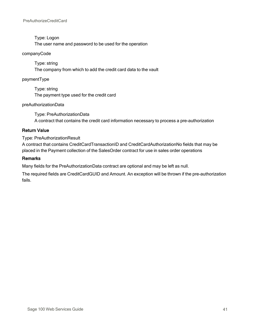Type: Logon The user name and password to be used for the operation

#### companyCode

Type: string The company from which to add the credit card data to the vault

paymentType

Type: string The payment type used for the credit card

#### preAuthorizationData

Type: PreAuthorizationData A contract that contains the credit card information necessary to process a pre-authorization

#### Return Value

Type: PreAuthorizationResult

A contract that contains CreditCardTransactionID and CreditCardAuthorizationNo fields that may be placed in the Payment collection of the SalesOrder contract for use in sales order operations

#### **Remarks**

Many fields for the PreAuthorizationData contract are optional and may be left as null.

The required fields are CreditCardGUID and Amount. An exception will be thrown if the pre-authorization fails.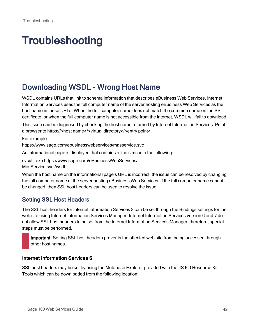# <span id="page-45-0"></span>**Troubleshooting**

# <span id="page-45-1"></span>Downloading WSDL - Wrong Host Name

WSDL contains URLs that link to schema information that describes eBusiness Web Services. Internet Information Services uses the full computer name of the server hosting eBusiness Web Services as the host name in these URLs. When the full computer name does not match the common name on the SSL certificate, or when the full computer name is not accessible from the internet, WSDL will fail to download.

This issue can be diagnosed by checking the host name returned by Internet Information Services. Point a browser to https://<host name>/<virtual directory>/<entry point>.

For example: https://www.sage.com/ebusinesswebservices/masservice.svc

An informational page is displayed that contains a line similar to the following:

svcutil.exe https://www.sage.com/eBusinessWebServices/ MasService.svc?wsdl

When the host name on the informational page's URL is incorrect, the issue can be resolved by changing the full computer name of the server hosting eBusiness Web Services. If the full computer name cannot be changed, then SSL host headers can be used to resolve the issue.

### Setting SSL Host Headers

The SSL host headers for Internet Information Services 8 can be set through the Bindings settings for the web site using Internet Information Services Manager. Internet Information Services version 6 and 7 do not allow SSL host headers to be set from the Internet Information Services Manager; therefore, special steps must be performed.

Important! Setting SSL host headers prevents the affected web site from being accessed through other host names.

#### Internet Information Services 6

SSL host headers may be set by using the Metabase Explorer provided with the IIS 6.0 Resource Kit Tools which can be downloaded from the following location: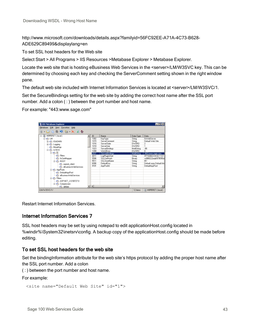http://www.microsoft.com/downloads/details.aspx?familyid=56FC92EE-A71A-4C73-B628- ADE629C89499&displaylang=en

To set SSL host headers for the Web site

Select Start > All Programs > IIS Resources >Metabase Explorer > Metabase Explorer.

Locate the web site that is hosting eBusiness Web Services in the <server>/LM/W3SVC key. This can be determined by choosing each key and checking the ServerComment setting shown in the right window pane.

The default web site included with Internet Information Services is located at <server>/LM/W3SVC/1.

Set the SecureBindings setting for the web site by adding the correct host name after the SSL port number. Add a colon ( : ) between the port number and host name.

For example: "443:www.sage.com"

| <b>IL IIS Metabase Explorer</b>              |       |                |              | 周回区                      |
|----------------------------------------------|-------|----------------|--------------|--------------------------|
| Metabase Edit View Favorites Help            |       |                |              |                          |
| - an profit xin &                            |       |                |              |                          |
| M9PBRET (local)                              | ID    | Name           | Data Type    | Data                     |
| ⊟+⊜LM                                        | 1002  | KeyType        | String       | Il:/WebServer            |
| EI-SADMIN                                    | 1015  | ServerComment  | String       | Default Web Site         |
| El-Cologging                                 | 1016  | ServerState    | <b>DWORD</b> | 2                        |
| MimeMap                                      | 1018  | ServerSize     | <b>DWDRD</b> |                          |
|                                              | 1023  | ServerBindings | MultSting    | 30 <sub>1</sub>          |
| <b>E-O W3SVC</b>                             | 1099  | Win32E nor     | <b>DWORD</b> | $\overline{0}$           |
| <b>B-61</b>                                  | 2021  | SecureBindings | MultSting    | :443:www.sage.com        |
| <b>TO</b> Filters                            | 4011  | LogPluginCloid | String       | IFF160663-DE82-11CF-     |
| <b>ES lisCertMapper</b>                      | 5506  | SSL CertHash   | Binary       | od988222eabf979595de     |
| 白+ RODT                                      | 5511  | SSL StoreName  | String       | <b>MY</b>                |
| to aspect client                             | 6006  | DefaultDoc     | String       | Default.aspx.Default.htm |
| eBusinessWebServices                         | 9101  | AppPoold       | String       | DetaultAppPool           |
|                                              |       |                |              |                          |
| 日<br><td></td> <td></td> <td></td> <td></td> |       |                |              |                          |
| <b>DelautAppPool</b>                         |       |                |              |                          |
| eBusines:/WebServices                        |       |                |              |                          |
| El Co Filters                                |       |                |              |                          |
| ASP.NET_2.0.50727.0                          |       |                |              |                          |
| El-Compression                               |       |                |              |                          |
| et deflate                                   | $-11$ |                |              |                          |
| ALM/W3SVC/17                                 |       |                | 12 items     | M9PBRET [local]          |

Restart Internet Information Services.

#### Internet Information Services 7

SSL host headers may be set by using notepad to edit applicationHost.config located in %windir%\System32\inetsrv\config. A backup copy of the applicationHost.config should be made before editing.

#### To set SSL host headers for the web site

Set the bindingInformation attribute for the web site's https protocol by adding the proper host name after the SSL port number. Add a colon

( : ) between the port number and host name.

For example:

```
<site name="Default Web Site" id="1">
```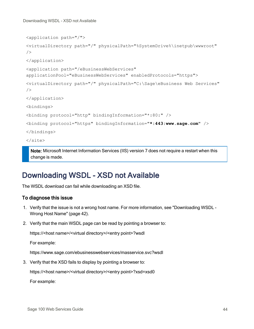```
Downloading WSDL - XSD not Available
```

```
<application path="/">
<virtualDirectory path="/" physicalPath="%SystemDrive%\inetpub\wwwroot"
/</application>
<application path="/eBusinessWebServices"
applicationPool="eBusinessWebServices" enabledProtocols="https">
<virtualDirectory path="/" physicalPath="C:\Sage\eBusiness Web Services"
/</application>
<bindings>
<binding protocol="http" bindingInformation="*:80:" />
<binding protocol="https" bindingInformation="*:443:www.sage.com" />
</bindings>
</site>
```
Note: Microsoft Internet Information Services (IIS) version 7 does not require a restart when this change is made.

## <span id="page-47-0"></span>Downloading WSDL - XSD not Available

The WSDL download can fail while downloading an XSD file.

#### To diagnose this issue

- 1. Verify that the issue is not a wrong host name. For more information, see ["Downloading](#page-45-1) WSDL Wrong Host [Name"](#page-45-1) (page 42).
- 2. Verify that the main WSDL page can be read by pointing a browser to:

https://<host name>/<virtual directory>/<entry point>?wsdl

For example:

https://www.sage.com/ebusinesswebservices/masservice.svc?wsdl

3. Verify that the XSD fails to display by pointing a browser to:

https://<host name>/<virtual directory>/<entry point>?xsd=xsd0

For example: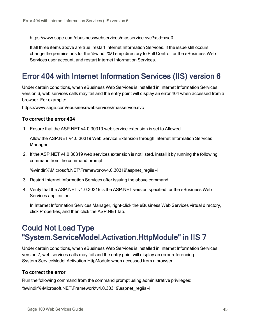https://www.sage.com/ebusinesswebservices/masservice.svc?xsd=xsd0

If all three items above are true, restart Internet Information Services. If the issue still occurs, change the permissions for the %windir%\Temp directory to Full Control for the eBusiness Web Services user account, and restart Internet Information Services.

## <span id="page-48-0"></span>Error 404 with Internet Information Services (IIS) version 6

Under certain conditions, when eBusiness Web Services is installed in Internet Information Services version 6, web services calls may fail and the entry point will display an error 404 when accessed from a browser. For example:

https://www.sage.com/ebusinesswebservices/masservice.svc

#### To correct the error 404

1. Ensure that the ASP.NET v4.0.30319 web service extension is set to Allowed.

Allow the ASP.NET v4.0.30319 Web Service Extension through Internet Information Services Manager.

2. If the ASP.NET v4.0.30319 web services extension is not listed, install it by running the following command from the command prompt:

%windir%\Microsoft.NET\Framework\v4.0.30319\aspnet\_regiis -i

- 3. Restart Internet Information Services after issuing the above command.
- 4. Verify that the ASP.NET v4.0.30319 is the ASP.NET version specified for the eBusiness Web Services application.

In Internet Information Services Manager, right-click the eBusiness Web Services virtual directory, click Properties, and then click the ASP.NET tab.

# <span id="page-48-1"></span>Could Not Load Type "System.ServiceModel.Activation.HttpModule" in IIS 7

Under certain conditions, when eBusiness Web Services is installed in Internet Information Services version 7, web services calls may fail and the entry point will display an error referencing System.ServiceModel.Activation.HttpModule when accessed from a browser.

#### To correct the error

Run the following command from the command prompt using administrative privileges: %windir%\Microsoft.NET\Framework\v4.0.30319\aspnet\_regiis -i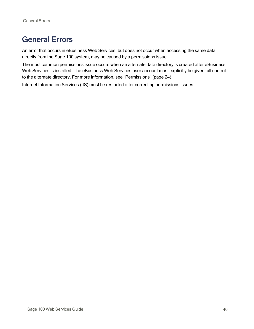# <span id="page-49-0"></span>General Errors

An error that occurs in eBusiness Web Services, but does not occur when accessing the same data directly from the Sage 100 system, may be caused by a permissions issue.

The most common permissions issue occurs when an alternate data directory is created after eBusiness Web Services is installed. The eBusiness Web Services user account must explicitly be given full control to the alternate directory. For more information, see ["Permissions"](#page-27-2) (page 24).

Internet Information Services (IIS) must be restarted after correcting permissions issues.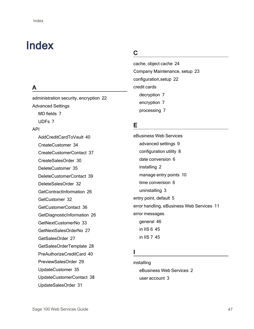# <span id="page-50-0"></span>Index

### A

administration security, encryption [22](#page-25-0) Advanced Settings MD fields [7](#page-10-2) UDFs [7](#page-10-2) API AddCreditCardToVault [40](#page-43-0) CreateCustomer [34](#page-37-0) CreateCustomerContact [37](#page-40-0) CreateSalesOrder [30](#page-33-0) DeleteCustomer [35](#page-38-1) DeleteCustomerContact [39](#page-42-0) DeleteSalesOrder [32](#page-35-0) GetContractInformation [26](#page-29-1) GetCustomer [32](#page-35-1) GetCustomerContact [36](#page-39-0) GetDiagnosticInformation [26](#page-29-2) GetNextCustomerNo [33](#page-36-0) GetNextSalesOrderNo [27](#page-30-1) GetSalesOrder [27](#page-30-0) GetSalesOrderTemplate [28](#page-31-0) PreAuthorizeCreditCard [40](#page-43-1) PreviewSalesOrder [29](#page-32-0) UpdateCustomer [35](#page-38-0) UpdateCustomerContact [38](#page-41-0) UpdateSalesOrder [31](#page-34-0)

### C

cache, object cache [24](#page-27-1) Company Maintenance, setup [23](#page-26-0) configuration,setup [22](#page-25-2) credit cards decryption [7](#page-10-0) encryption [7](#page-10-0) processing [7](#page-10-0)

### E

eBusiness Web Services advanced settings [9](#page-12-0) configuration utility [8](#page-11-0) date conversion [6](#page-9-0) installing [2](#page-5-1) manage entry points [10](#page-13-0) time conversion [6](#page-9-0) uninstalling [3](#page-6-1) entry point, default [5](#page-8-1) error handling, eBusiness Web Services [11](#page-14-1) error messages general [46](#page-49-0) in IIS 6 [45](#page-48-0) in IIS 7 [45](#page-48-1)

### I

installing eBusiness Web Services [2](#page-5-1) user account [3](#page-6-2)